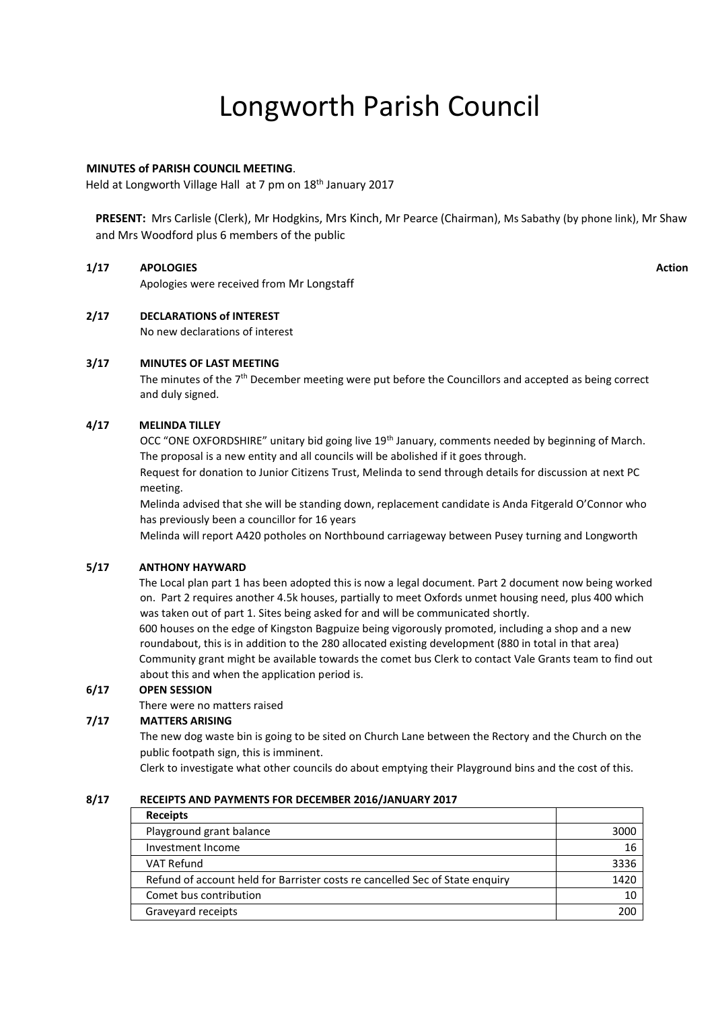# Longworth Parish Council

# **MINUTES of PARISH COUNCIL MEETING**.

Held at Longworth Village Hall at 7 pm on 18<sup>th</sup> January 2017

**PRESENT:** Mrs Carlisle (Clerk), Mr Hodgkins, Mrs Kinch, Mr Pearce (Chairman), Ms Sabathy (by phone link), Mr Shaw and Mrs Woodford plus 6 members of the public

## **1/17 APOLOGIES**

Apologies were received from Mr Longstaff

# **Action**

# **2/17 DECLARATIONS of INTEREST**

No new declarations of interest

# **3/17 MINUTES OF LAST MEETING**

The minutes of the 7<sup>th</sup> December meeting were put before the Councillors and accepted as being correct and duly signed.

## **4/17 MELINDA TILLEY**

OCC "ONE OXFORDSHIRE" unitary bid going live 19th January, comments needed by beginning of March. The proposal is a new entity and all councils will be abolished if it goes through.

Request for donation to Junior Citizens Trust, Melinda to send through details for discussion at next PC meeting.

Melinda advised that she will be standing down, replacement candidate is Anda Fitgerald O'Connor who has previously been a councillor for 16 years

Melinda will report A420 potholes on Northbound carriageway between Pusey turning and Longworth

## **5/17 ANTHONY HAYWARD**

The Local plan part 1 has been adopted this is now a legal document. Part 2 document now being worked on. Part 2 requires another 4.5k houses, partially to meet Oxfords unmet housing need, plus 400 which was taken out of part 1. Sites being asked for and will be communicated shortly.

600 houses on the edge of Kingston Bagpuize being vigorously promoted, including a shop and a new roundabout, this is in addition to the 280 allocated existing development (880 in total in that area) Community grant might be available towards the comet bus Clerk to contact Vale Grants team to find out about this and when the application period is.

## **6/17 OPEN SESSION**

There were no matters raised

## **7/17 MATTERS ARISING**

The new dog waste bin is going to be sited on Church Lane between the Rectory and the Church on the public footpath sign, this is imminent.

Clerk to investigate what other councils do about emptying their Playground bins and the cost of this.

#### **8/17 RECEIPTS AND PAYMENTS FOR DECEMBER 2016/JANUARY 2017**

| <b>Receipts</b>                                                              |      |
|------------------------------------------------------------------------------|------|
| Playground grant balance                                                     | 3000 |
| Investment Income                                                            | 16   |
| <b>VAT Refund</b>                                                            | 3336 |
| Refund of account held for Barrister costs re cancelled Sec of State enguiry | 1420 |
| Comet bus contribution                                                       | 10   |
| Graveyard receipts                                                           | 200  |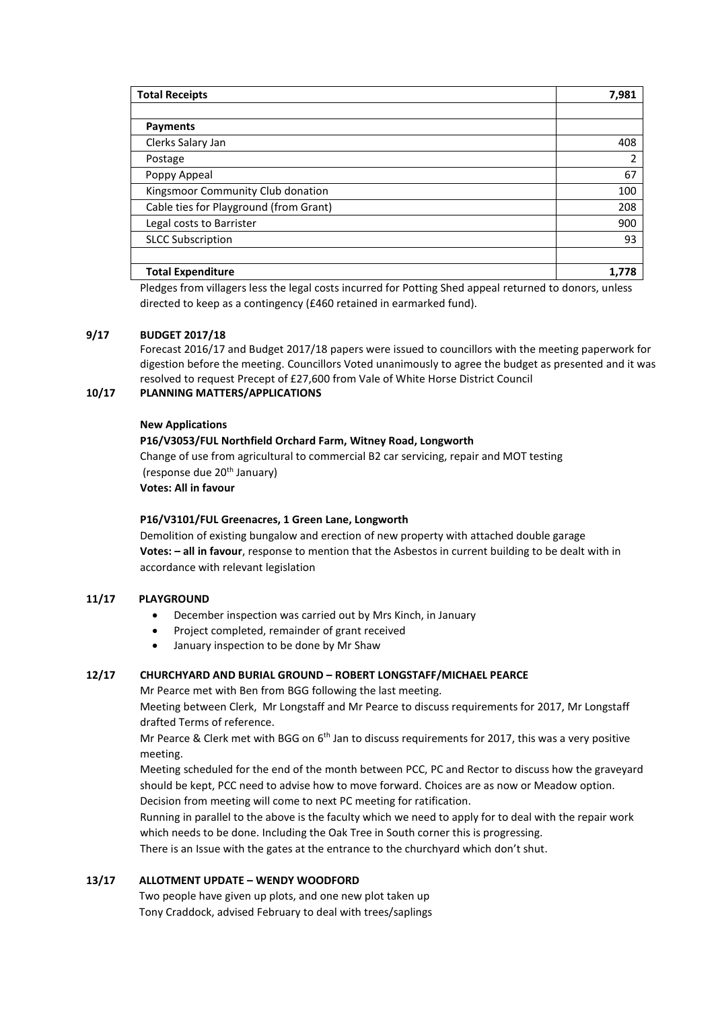| <b>Total Receipts</b>                  | 7,981 |
|----------------------------------------|-------|
|                                        |       |
| <b>Payments</b>                        |       |
| Clerks Salary Jan                      | 408   |
| Postage                                | 2     |
| Poppy Appeal                           | 67    |
| Kingsmoor Community Club donation      | 100   |
| Cable ties for Playground (from Grant) | 208   |
| Legal costs to Barrister               | 900   |
| <b>SLCC Subscription</b>               | 93    |
|                                        |       |
| <b>Total Expenditure</b>               |       |

Pledges from villagers less the legal costs incurred for Potting Shed appeal returned to donors, unless directed to keep as a contingency (£460 retained in earmarked fund).

# **9/17 BUDGET 2017/18**

Forecast 2016/17 and Budget 2017/18 papers were issued to councillors with the meeting paperwork for digestion before the meeting. Councillors Voted unanimously to agree the budget as presented and it was resolved to request Precept of £27,600 from Vale of White Horse District Council

# **10/17 PLANNING MATTERS/APPLICATIONS**

#### **New Applications**

## **P16/V3053/FUL Northfield Orchard Farm, Witney Road, Longworth**

Change of use from agricultural to commercial B2 car servicing, repair and MOT testing (response due 20<sup>th</sup> January) **Votes: All in favour**

## **P16/V3101/FUL Greenacres, 1 Green Lane, Longworth**

Demolition of existing bungalow and erection of new property with attached double garage **Votes: – all in favour**, response to mention that the Asbestos in current building to be dealt with in accordance with relevant legislation

## **11/17 PLAYGROUND**

- December inspection was carried out by Mrs Kinch, in January
- Project completed, remainder of grant received
- January inspection to be done by Mr Shaw

## **12/17 CHURCHYARD AND BURIAL GROUND – ROBERT LONGSTAFF/MICHAEL PEARCE**

Mr Pearce met with Ben from BGG following the last meeting.

Meeting between Clerk, Mr Longstaff and Mr Pearce to discuss requirements for 2017, Mr Longstaff drafted Terms of reference.

Mr Pearce & Clerk met with BGG on  $6<sup>th</sup>$  Jan to discuss requirements for 2017, this was a very positive meeting.

Meeting scheduled for the end of the month between PCC, PC and Rector to discuss how the graveyard should be kept, PCC need to advise how to move forward. Choices are as now or Meadow option. Decision from meeting will come to next PC meeting for ratification.

Running in parallel to the above is the faculty which we need to apply for to deal with the repair work which needs to be done. Including the Oak Tree in South corner this is progressing.

There is an Issue with the gates at the entrance to the churchyard which don't shut.

## **13/17 ALLOTMENT UPDATE – WENDY WOODFORD**

Two people have given up plots, and one new plot taken up Tony Craddock, advised February to deal with trees/saplings